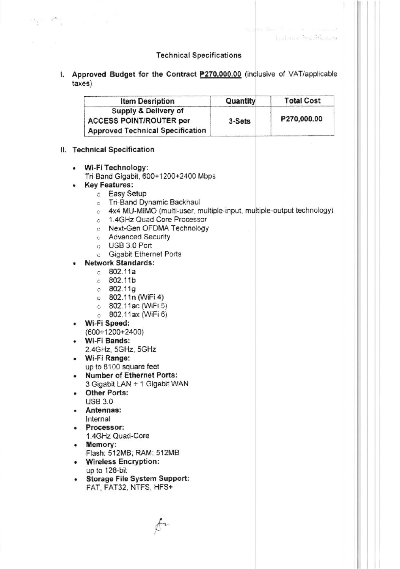# **Technical Specifications**

 $\label{eq:2.1} \left\| \begin{matrix} \mathbf{a}_1 & \mathbf{a}_2 & \cdots & \mathbf{a}_n \\ \mathbf{a}_1 & \mathbf{a}_2 & \cdots & \mathbf{a}_n \end{matrix} \right\|_2^2$ 

I. Approved Budget for the Contract P270,000.00 (inclusive of VAT/applicable  $taxes)$ 

|   | <b>Item Desription</b>                                                          | Quantity | <b>Total Cost</b> |  |  |
|---|---------------------------------------------------------------------------------|----------|-------------------|--|--|
|   | Supply & Delivery of                                                            |          |                   |  |  |
|   | <b>ACCESS POINT/ROUTER per</b>                                                  | 3-Sets   | P270,000.00       |  |  |
|   | <b>Approved Technical Specification</b>                                         |          |                   |  |  |
|   | II. Technical Specification                                                     |          |                   |  |  |
|   |                                                                                 |          |                   |  |  |
| ۰ | Wi-Fi Technology:<br>Tri-Band Gigabit, 600+1200+2400 Mbps                       |          |                   |  |  |
| ۰ | <b>Key Features:</b>                                                            |          |                   |  |  |
|   | Easy Setup<br>$\circ$                                                           |          |                   |  |  |
|   | Tri-Band Dynamic Backhaul                                                       |          |                   |  |  |
|   | $\circ$<br>4x4 MU-MIMO (multi-user, multiple-input, multiple-output technology) |          |                   |  |  |
|   | Ö                                                                               |          |                   |  |  |
|   | 1.4GHz Quad Core Processor<br>O                                                 |          |                   |  |  |
|   | Next-Gen OFDMA Technology                                                       |          |                   |  |  |
|   | o Advanced Security                                                             |          |                   |  |  |
|   | USB 3.0 Port<br>O                                                               |          |                   |  |  |
|   | <b>Gigabit Ethernet Ports</b><br>$\circ$                                        |          |                   |  |  |
|   | <b>Network Standards:</b>                                                       |          |                   |  |  |
|   | 802.11a<br>Ö                                                                    |          |                   |  |  |
|   | 0.802.11b                                                                       |          |                   |  |  |
|   | 0.802.11g                                                                       |          |                   |  |  |
|   | $\circ$ 802.11n (WiFi 4)                                                        |          |                   |  |  |
|   | $\circ$ 802.11ac (WiFi 5)                                                       |          |                   |  |  |
|   | 802.11ax (WiFi 6)<br>$\circ$                                                    |          |                   |  |  |
|   | Wi-Fi Speed:                                                                    |          |                   |  |  |
|   | $(600+1200+2400)$                                                               |          |                   |  |  |
|   | Wi-Fi Bands:                                                                    |          |                   |  |  |
|   | 2.4GHz, 5GHz, 5GHz                                                              |          |                   |  |  |
| ٠ | Wi-Fi Range:                                                                    |          |                   |  |  |
|   | up to 8100 square feet                                                          |          |                   |  |  |
|   | <b>Number of Ethernet Ports:</b>                                                |          |                   |  |  |
|   |                                                                                 |          |                   |  |  |
|   | 3 Gigabit LAN + 1 Gigabit WAN                                                   |          |                   |  |  |
|   | <b>Other Ports:</b>                                                             |          |                   |  |  |
|   | <b>USB 3.0</b>                                                                  |          |                   |  |  |
|   | Antennas:                                                                       |          |                   |  |  |
|   | Internal                                                                        |          |                   |  |  |
|   | Processor:                                                                      |          |                   |  |  |
|   | 1.4GHz Quad-Core                                                                |          |                   |  |  |
|   | Memory:                                                                         |          |                   |  |  |
| ۰ | Flash: 512MB; RAM: 512MB                                                        |          |                   |  |  |
|   |                                                                                 |          |                   |  |  |
| ۰ | <b>Wireless Encryption:</b>                                                     |          |                   |  |  |
|   | up to 128-bit                                                                   |          |                   |  |  |
| ۰ | Storage File System Support:                                                    |          |                   |  |  |
|   | FAT, FAT32, NTFS, HFS+                                                          |          |                   |  |  |

 $\oint$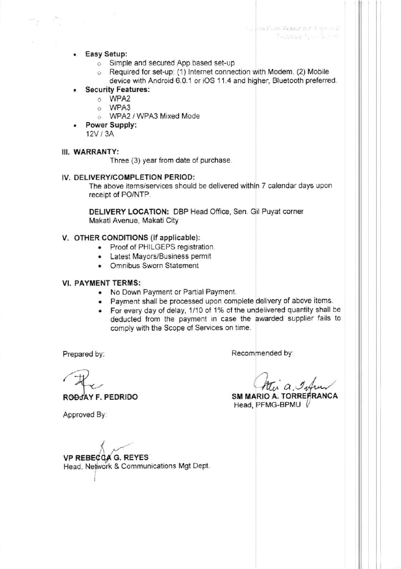- Easy Setup:
	- o Simple and secured App based set-up
	- o Required for set-up: (1) Internet connection with Modem. (2) Mobile device with Android 6.0.1 or iOS 11.4 and higher, Bluetooth preferred.
- **Security Features:** 
	- o WPA2
	- o WPA3
	- O WPA2 / WPA3 Mixed Mode
- Power Supply:  $12V/3A$

### III. WARRANTY:

Three (3) year from date of purchase.

#### IV. DELIVERY/COMPLETION PERIOD:

The above items/services should be delivered within 7 calendar days upon receipt of PO/NTP.

DELIVERY LOCATION: DBP Head Office, Sen. Gil Puyat corner Makati Avenue, Makati City

#### V. OTHER CONDITIONS (if applicable):

- Proof of PHILGEPS registration.
- Latest Mayors/Business permit
- Omnibus Sworn Statement

#### **VI. PAYMENT TERMS:**

- No Down Payment or Partial Payment.
- . Payment shall be processed upon complete delivery of above items.
- For every day of delay, 1/10 of 1% of the undelivered quantity shall be deducted from the payment in case the awarded supplier fails to comply with the Scope of Services on time.

Prepared by:

Recommended by:

 $u \alpha$ ,  $\mathcal{I}_{\psi}$ 

SM MARIO A. TORREFRANCA Head, PFMG-BPMU V

Approved By:

RODJAY F. PEDRIDO

**VP REBECGA G. REYES** Head, Network & Communications Mgt Dept.